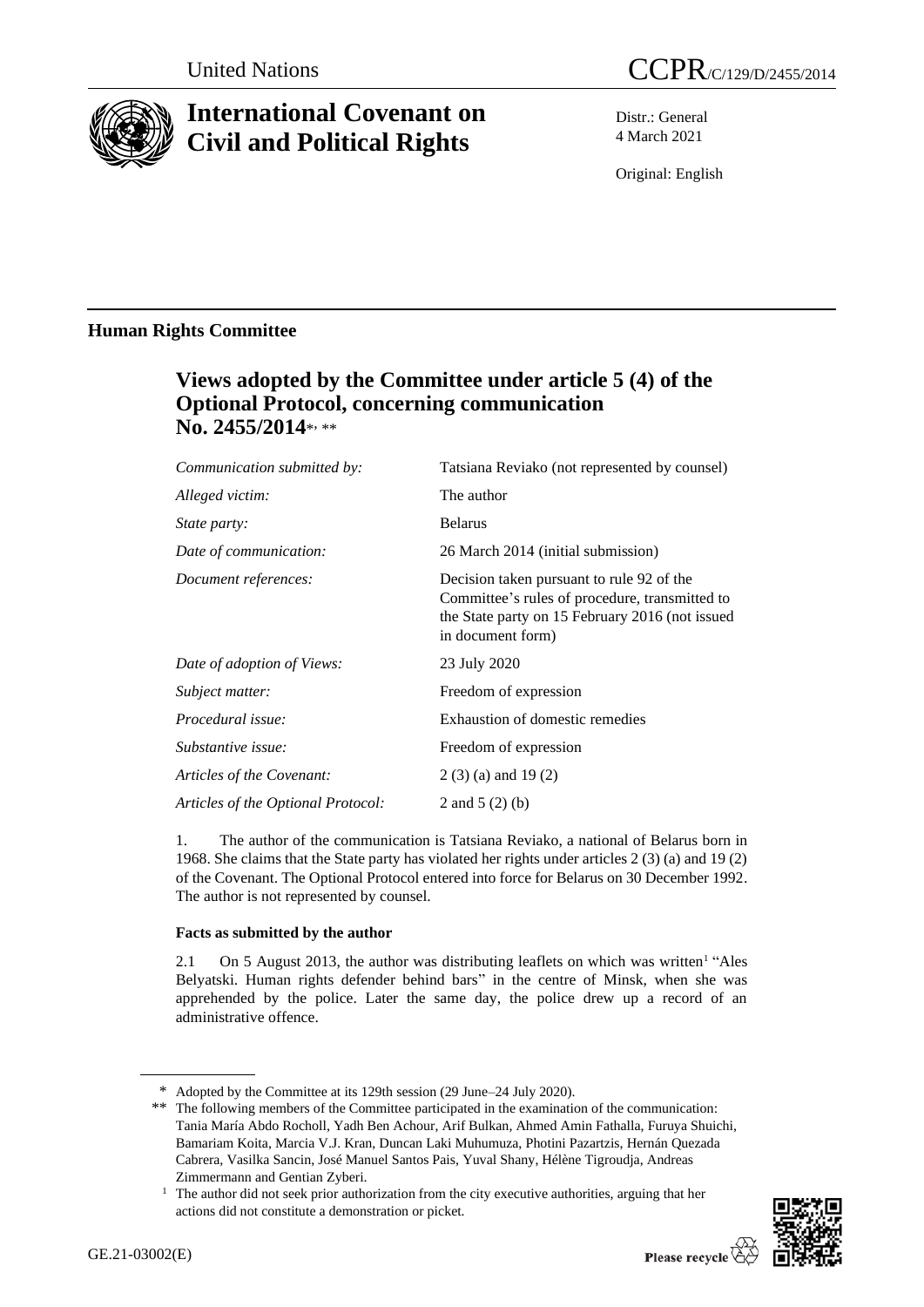

# **International Covenant on Civil and Political Rights**

Distr.: General 4 March 2021

Original: English

### **Human Rights Committee**

## **Views adopted by the Committee under article 5 (4) of the Optional Protocol, concerning communication**  No. 2455/2014\*, \*\*

| Communication submitted by:        | Tatsiana Reviako (not represented by counsel)                                                                                                                       |
|------------------------------------|---------------------------------------------------------------------------------------------------------------------------------------------------------------------|
| Alleged victim:                    | The author                                                                                                                                                          |
| <i>State party:</i>                | <b>Belarus</b>                                                                                                                                                      |
| Date of communication:             | 26 March 2014 (initial submission)                                                                                                                                  |
| Document references:               | Decision taken pursuant to rule 92 of the<br>Committee's rules of procedure, transmitted to<br>the State party on 15 February 2016 (not issued<br>in document form) |
| Date of adoption of Views:         | 23 July 2020                                                                                                                                                        |
| Subject matter:                    | Freedom of expression                                                                                                                                               |
| Procedural issue:                  | Exhaustion of domestic remedies                                                                                                                                     |
| Substantive issue:                 | Freedom of expression                                                                                                                                               |
| Articles of the Covenant:          | $2(3)(a)$ and 19 $(2)$                                                                                                                                              |
| Articles of the Optional Protocol: | 2 and $5(2)(b)$                                                                                                                                                     |
|                                    |                                                                                                                                                                     |

1. The author of the communication is Tatsiana Reviako, a national of Belarus born in 1968. She claims that the State party has violated her rights under articles 2 (3) (a) and 19 (2) of the Covenant. The Optional Protocol entered into force for Belarus on 30 December 1992. The author is not represented by counsel.

### **Facts as submitted by the author**

2.1 On 5 August 2013, the author was distributing leaflets on which was written<sup>1</sup> "Ales Belyatski. Human rights defender behind bars" in the centre of Minsk, when she was apprehended by the police. Later the same day, the police drew up a record of an administrative offence.

 $1$  The author did not seek prior authorization from the city executive authorities, arguing that her actions did not constitute a demonstration or picket.



<sup>\*</sup> Adopted by the Committee at its 129th session (29 June–24 July 2020).

<sup>\*\*</sup> The following members of the Committee participated in the examination of the communication: Tania María Abdo Rocholl, Yadh Ben Achour, Arif Bulkan, Ahmed Amin Fathalla, Furuya Shuichi, Bamariam Koita, Marcia V.J. Kran, Duncan Laki Muhumuza, Photini Pazartzis, Hernán Quezada Cabrera, Vasilka Sancin, José Manuel Santos Pais, Yuval Shany, Hélène Tigroudja, Andreas Zimmermann and Gentian Zyberi.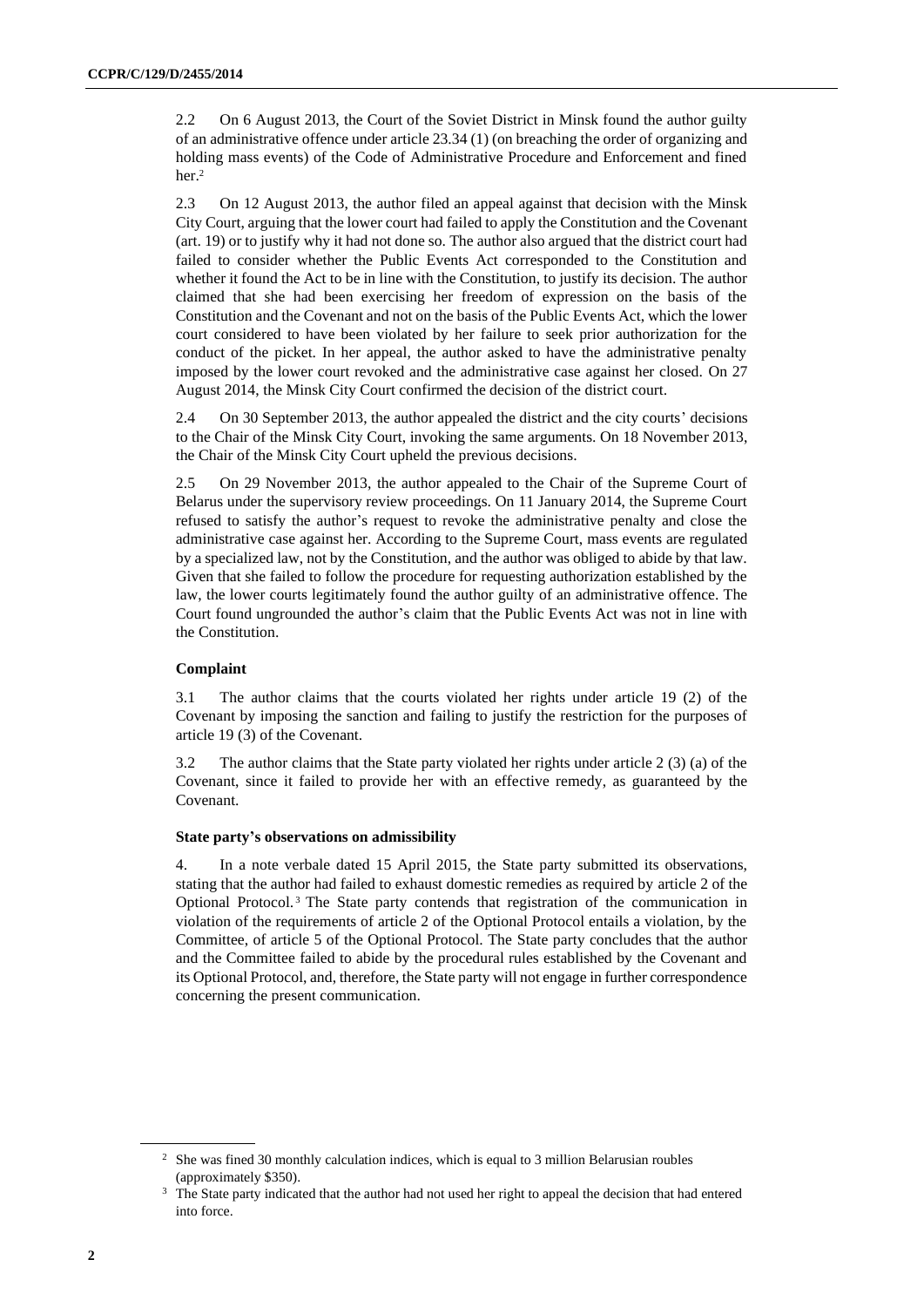2.2 On 6 August 2013, the Court of the Soviet District in Minsk found the author guilty of an administrative offence under article 23.34 (1) (on breaching the order of organizing and holding mass events) of the Code of Administrative Procedure and Enforcement and fined her.<sup>2</sup>

2.3 On 12 August 2013, the author filed an appeal against that decision with the Minsk City Court, arguing that the lower court had failed to apply the Constitution and the Covenant (art. 19) or to justify why it had not done so. The author also argued that the district court had failed to consider whether the Public Events Act corresponded to the Constitution and whether it found the Act to be in line with the Constitution, to justify its decision. The author claimed that she had been exercising her freedom of expression on the basis of the Constitution and the Covenant and not on the basis of the Public Events Act, which the lower court considered to have been violated by her failure to seek prior authorization for the conduct of the picket. In her appeal, the author asked to have the administrative penalty imposed by the lower court revoked and the administrative case against her closed. On 27 August 2014, the Minsk City Court confirmed the decision of the district court.

2.4 On 30 September 2013, the author appealed the district and the city courts' decisions to the Chair of the Minsk City Court, invoking the same arguments. On 18 November 2013, the Chair of the Minsk City Court upheld the previous decisions.

2.5 On 29 November 2013, the author appealed to the Chair of the Supreme Court of Belarus under the supervisory review proceedings. On 11 January 2014, the Supreme Court refused to satisfy the author's request to revoke the administrative penalty and close the administrative case against her. According to the Supreme Court, mass events are regulated by a specialized law, not by the Constitution, and the author was obliged to abide by that law. Given that she failed to follow the procedure for requesting authorization established by the law, the lower courts legitimately found the author guilty of an administrative offence. The Court found ungrounded the author's claim that the Public Events Act was not in line with the Constitution.

#### **Complaint**

3.1 The author claims that the courts violated her rights under article 19 (2) of the Covenant by imposing the sanction and failing to justify the restriction for the purposes of article 19 (3) of the Covenant.

3.2 The author claims that the State party violated her rights under article 2 (3) (a) of the Covenant, since it failed to provide her with an effective remedy, as guaranteed by the Covenant.

#### **State party's observations on admissibility**

4. In a note verbale dated 15 April 2015, the State party submitted its observations, stating that the author had failed to exhaust domestic remedies as required by article 2 of the Optional Protocol. <sup>3</sup> The State party contends that registration of the communication in violation of the requirements of article 2 of the Optional Protocol entails a violation, by the Committee, of article 5 of the Optional Protocol. The State party concludes that the author and the Committee failed to abide by the procedural rules established by the Covenant and its Optional Protocol, and, therefore, the State party will not engage in further correspondence concerning the present communication.

<sup>&</sup>lt;sup>2</sup> She was fined 30 monthly calculation indices, which is equal to 3 million Belarusian roubles (approximately \$350).

<sup>&</sup>lt;sup>3</sup> The State party indicated that the author had not used her right to appeal the decision that had entered into force.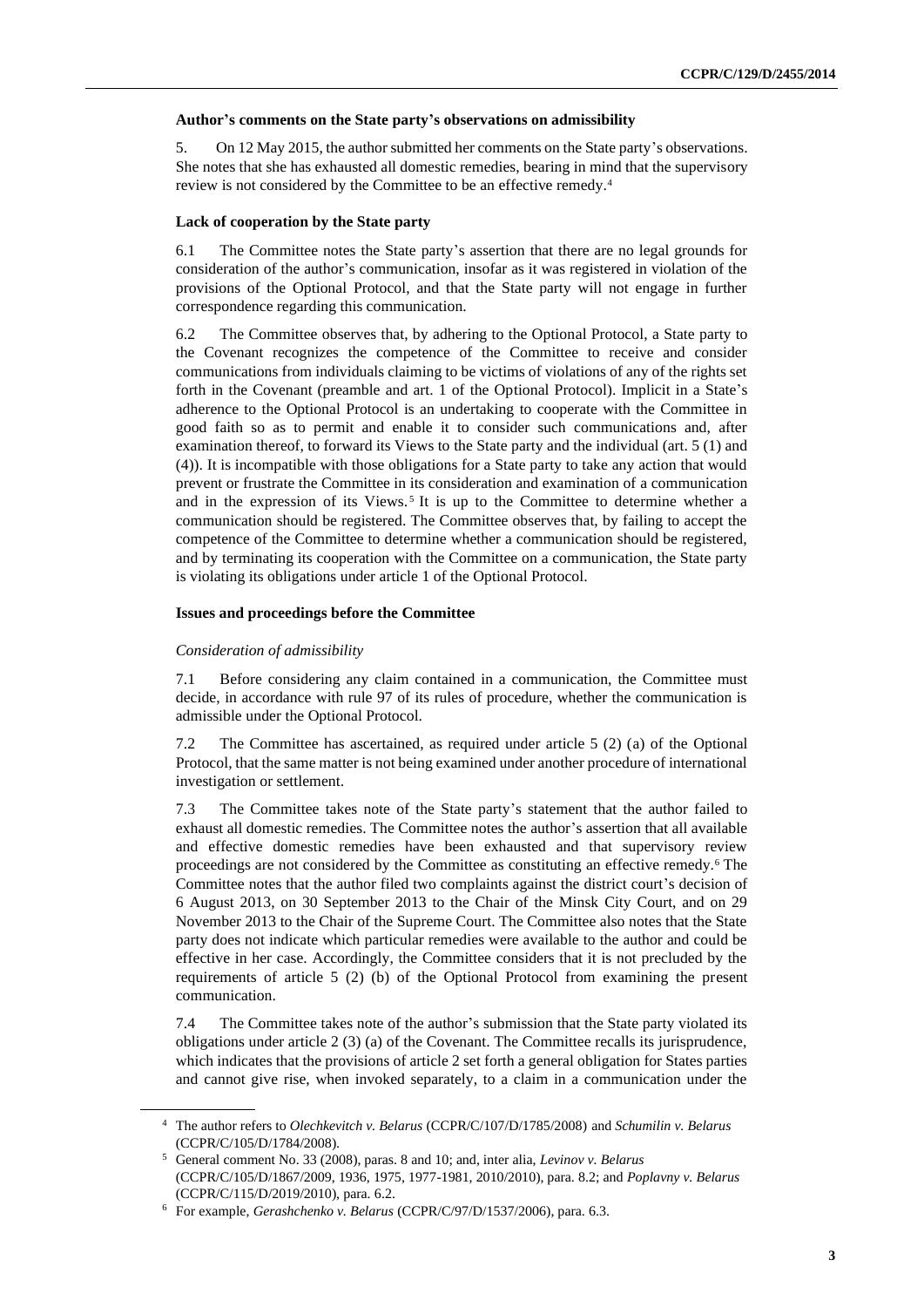#### **Author's comments on the State party's observations on admissibility**

5. On 12 May 2015, the author submitted her comments on the State party's observations. She notes that she has exhausted all domestic remedies, bearing in mind that the supervisory review is not considered by the Committee to be an effective remedy.<sup>4</sup>

#### **Lack of cooperation by the State party**

6.1 The Committee notes the State party's assertion that there are no legal grounds for consideration of the author's communication, insofar as it was registered in violation of the provisions of the Optional Protocol, and that the State party will not engage in further correspondence regarding this communication.

6.2 The Committee observes that, by adhering to the Optional Protocol, a State party to the Covenant recognizes the competence of the Committee to receive and consider communications from individuals claiming to be victims of violations of any of the rights set forth in the Covenant (preamble and art. 1 of the Optional Protocol). Implicit in a State's adherence to the Optional Protocol is an undertaking to cooperate with the Committee in good faith so as to permit and enable it to consider such communications and, after examination thereof, to forward its Views to the State party and the individual (art. 5 (1) and (4)). It is incompatible with those obligations for a State party to take any action that would prevent or frustrate the Committee in its consideration and examination of a communication and in the expression of its Views.<sup>5</sup> It is up to the Committee to determine whether a communication should be registered. The Committee observes that, by failing to accept the competence of the Committee to determine whether a communication should be registered, and by terminating its cooperation with the Committee on a communication, the State party is violating its obligations under article 1 of the Optional Protocol.

#### **Issues and proceedings before the Committee**

#### *Consideration of admissibility*

7.1 Before considering any claim contained in a communication, the Committee must decide, in accordance with rule 97 of its rules of procedure, whether the communication is admissible under the Optional Protocol.

7.2 The Committee has ascertained, as required under article 5 (2) (a) of the Optional Protocol, that the same matter is not being examined under another procedure of international investigation or settlement.

7.3 The Committee takes note of the State party's statement that the author failed to exhaust all domestic remedies. The Committee notes the author's assertion that all available and effective domestic remedies have been exhausted and that supervisory review proceedings are not considered by the Committee as constituting an effective remedy.<sup>6</sup> The Committee notes that the author filed two complaints against the district court's decision of 6 August 2013, on 30 September 2013 to the Chair of the Minsk City Court, and on 29 November 2013 to the Chair of the Supreme Court. The Committee also notes that the State party does not indicate which particular remedies were available to the author and could be effective in her case. Accordingly, the Committee considers that it is not precluded by the requirements of article 5 (2) (b) of the Optional Protocol from examining the present communication.

7.4 The Committee takes note of the author's submission that the State party violated its obligations under article 2 (3) (a) of the Covenant. The Committee recalls its jurisprudence, which indicates that the provisions of article 2 set forth a general obligation for States parties and cannot give rise, when invoked separately, to a claim in a communication under the

<sup>4</sup> The author refers to *Olechkevitch v. Belarus* (CCPR/C/107/D/1785/2008) and *Schumilin v. Belarus*  (CCPR/C/105/D/1784/2008).

<sup>5</sup> General comment No. 33 (2008), paras. 8 and 10; and, inter alia, *Levinov v. Belarus* (CCPR/C/105/D/1867/2009, 1936, 1975, 1977-1981, 2010/2010), para. 8.2; and *Poplavny v. Belarus* (CCPR/C/115/D/2019/2010), para. 6.2.

<sup>6</sup> For example, *Gerashchenko v. Belarus* (CCPR/C/97/D/1537/2006), para. 6.3.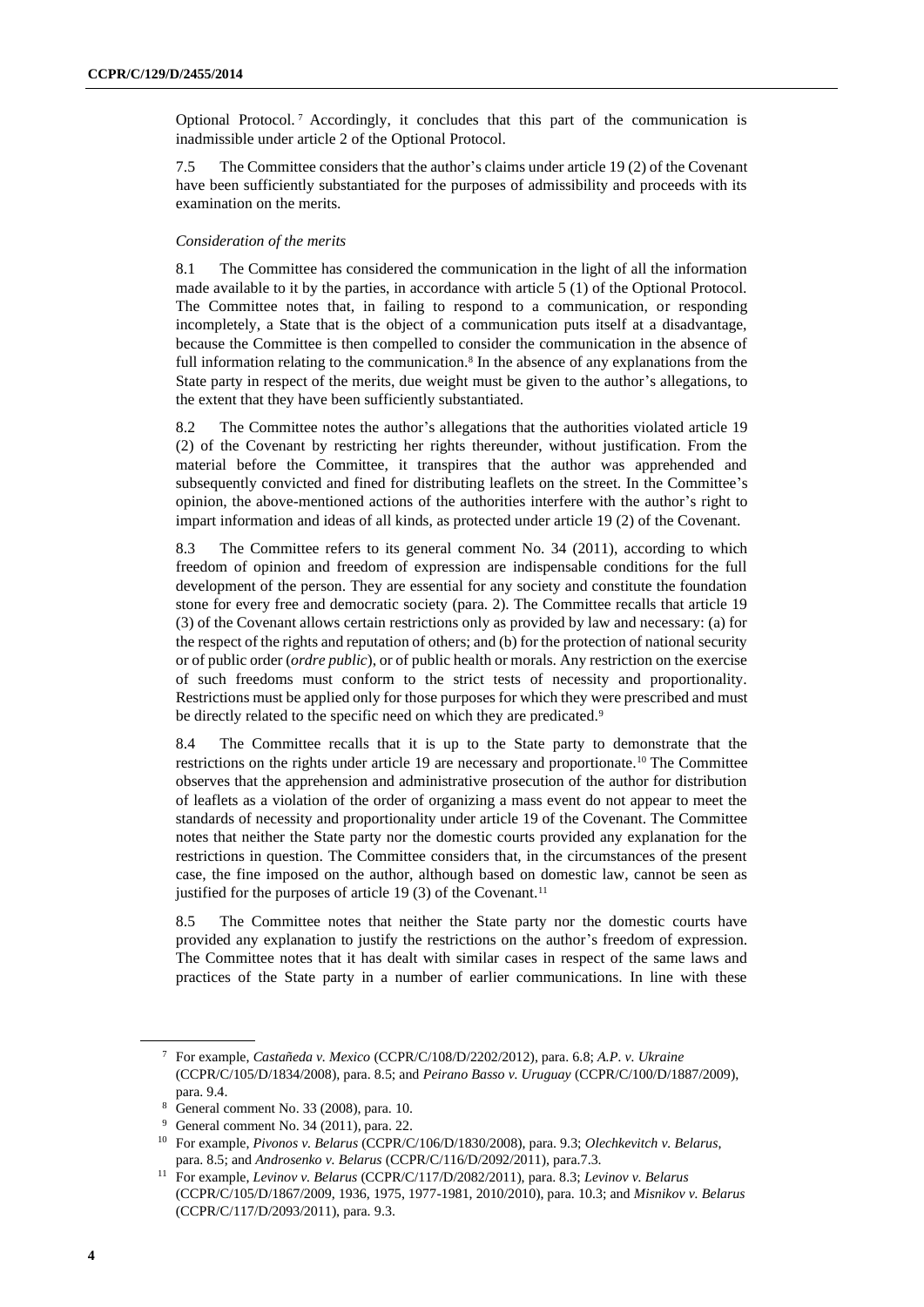Optional Protocol. <sup>7</sup> Accordingly, it concludes that this part of the communication is inadmissible under article 2 of the Optional Protocol.

7.5 The Committee considers that the author's claims under article 19 (2) of the Covenant have been sufficiently substantiated for the purposes of admissibility and proceeds with its examination on the merits.

#### *Consideration of the merits*

8.1 The Committee has considered the communication in the light of all the information made available to it by the parties, in accordance with article 5 (1) of the Optional Protocol. The Committee notes that, in failing to respond to a communication, or responding incompletely, a State that is the object of a communication puts itself at a disadvantage, because the Committee is then compelled to consider the communication in the absence of full information relating to the communication.<sup>8</sup> In the absence of any explanations from the State party in respect of the merits, due weight must be given to the author's allegations, to the extent that they have been sufficiently substantiated.

8.2 The Committee notes the author's allegations that the authorities violated article 19 (2) of the Covenant by restricting her rights thereunder, without justification. From the material before the Committee, it transpires that the author was apprehended and subsequently convicted and fined for distributing leaflets on the street. In the Committee's opinion, the above-mentioned actions of the authorities interfere with the author's right to impart information and ideas of all kinds, as protected under article 19 (2) of the Covenant.

8.3 The Committee refers to its general comment No. 34 (2011), according to which freedom of opinion and freedom of expression are indispensable conditions for the full development of the person. They are essential for any society and constitute the foundation stone for every free and democratic society (para. 2). The Committee recalls that article 19 (3) of the Covenant allows certain restrictions only as provided by law and necessary: (a) for the respect of the rights and reputation of others; and (b) for the protection of national security or of public order (*ordre public*), or of public health or morals. Any restriction on the exercise of such freedoms must conform to the strict tests of necessity and proportionality. Restrictions must be applied only for those purposes for which they were prescribed and must be directly related to the specific need on which they are predicated.<sup>9</sup>

8.4 The Committee recalls that it is up to the State party to demonstrate that the restrictions on the rights under article 19 are necessary and proportionate.<sup>10</sup> The Committee observes that the apprehension and administrative prosecution of the author for distribution of leaflets as a violation of the order of organizing a mass event do not appear to meet the standards of necessity and proportionality under article 19 of the Covenant. The Committee notes that neither the State party nor the domestic courts provided any explanation for the restrictions in question. The Committee considers that, in the circumstances of the present case, the fine imposed on the author, although based on domestic law, cannot be seen as justified for the purposes of article 19 (3) of the Covenant.<sup>11</sup>

8.5 The Committee notes that neither the State party nor the domestic courts have provided any explanation to justify the restrictions on the author's freedom of expression. The Committee notes that it has dealt with similar cases in respect of the same laws and practices of the State party in a number of earlier communications. In line with these

<sup>7</sup> For example, *Castañeda v. Mexico* (CCPR/C/108/D/2202/2012), para. 6.8; *A.P. v. Ukraine* (CCPR/C/105/D/1834/2008), para. 8.5; and *Peirano Basso v. Uruguay* (CCPR/C/100/D/1887/2009), para. 9.4.

General comment No. 33 (2008), para. 10.

<sup>9</sup> General comment No. 34 (2011), para. 22.

<sup>10</sup> For example, *Pivonos v. Belarus* (CCPR/C/106/D/1830/2008), para. 9.3; *Olechkevitch v. Belarus*, para. 8.5; and *Androsenko v. Belarus* (CCPR/C/116/D/2092/2011), para.7.3.

<sup>11</sup> For example, *Levinov v. Belarus* (CCPR/C/117/D/2082/2011), para. 8.3; *Levinov v. Belarus* (CCPR/C/105/D/1867/2009, 1936, 1975, 1977-1981, 2010/2010), para. 10.3; and *Misnikov v. Belarus*  (CCPR/C/117/D/2093/2011), para. 9.3.